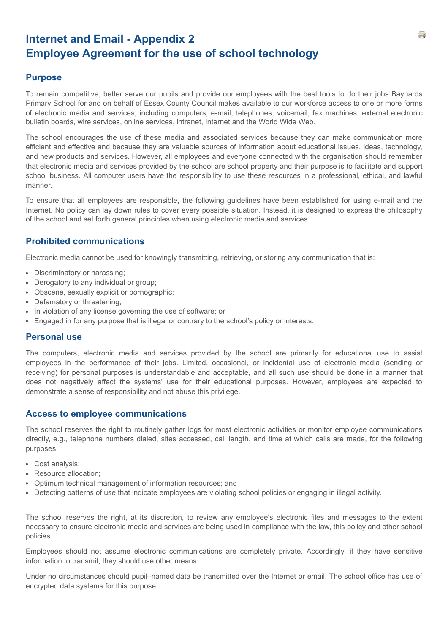# **Internet and Email - Appendix 2 Employee Agreement for the use of school technology**

# **Purpose**

To remain competitive, better serve our pupils and provide our employees with the best tools to do their jobs Baynards Primary School for and on behalf of Essex County Council makes available to our workforce access to one or more forms of electronic media and services, including computers, e-mail, telephones, voicemail, fax machines, external electronic bulletin boards, wire services, online services, intranet, Internet and the World Wide Web.

The school encourages the use of these media and associated services because they can make communication more efficient and effective and because they are valuable sources of information about educational issues, ideas, technology, and new products and services. However, all employees and everyone connected with the organisation should remember that electronic media and services provided by the school are school property and their purpose is to facilitate and support school business. All computer users have the responsibility to use these resources in a professional, ethical, and lawful manner.

To ensure that all employees are responsible, the following guidelines have been established for using e-mail and the Internet. No policy can lay down rules to cover every possible situation. Instead, it is designed to express the philosophy of the school and set forth general principles when using electronic media and services.

# **Prohibited communications**

Electronic media cannot be used for knowingly transmitting, retrieving, or storing any communication that is:

- Discriminatory or harassing;
- Derogatory to any individual or group;
- Obscene, sexually explicit or pornographic;
- Defamatory or threatening;
- In violation of any license governing the use of software; or
- Engaged in for any purpose that is illegal or contrary to the school's policy or interests.

### **Personal use**

The computers, electronic media and services provided by the school are primarily for educational use to assist employees in the performance of their jobs. Limited, occasional, or incidental use of electronic media (sending or receiving) for personal purposes is understandable and acceptable, and all such use should be done in a manner that does not negatively affect the systems' use for their educational purposes. However, employees are expected to demonstrate a sense of responsibility and not abuse this privilege.

### **Access to employee communications**

The school reserves the right to routinely gather logs for most electronic activities or monitor employee communications directly, e.g., telephone numbers dialed, sites accessed, call length, and time at which calls are made, for the following purposes:

- Cost analysis;
- Resource allocation:
- Optimum technical management of information resources; and
- Detecting patterns of use that indicate employees are violating school policies or engaging in illegal activity.

The school reserves the right, at its discretion, to review any employee's electronic files and messages to the extent necessary to ensure electronic media and services are being used in compliance with the law, this policy and other school policies.

Employees should not assume electronic communications are completely private. Accordingly, if they have sensitive information to transmit, they should use other means.

Under no circumstances should pupil–named data be transmitted over the Internet or email. The school office has use of encrypted data systems for this purpose.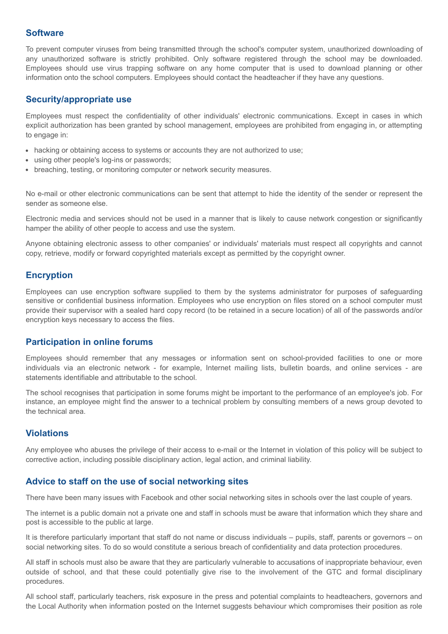## **Software**

To prevent computer viruses from being transmitted through the school's computer system, unauthorized downloading of any unauthorized software is strictly prohibited. Only software registered through the school may be downloaded. Employees should use virus trapping software on any home computer that is used to download planning or other information onto the school computers. Employees should contact the headteacher if they have any questions.

## **Security/appropriate use**

Employees must respect the confidentiality of other individuals' electronic communications. Except in cases in which explicit authorization has been granted by school management, employees are prohibited from engaging in, or attempting to engage in:

- hacking or obtaining access to systems or accounts they are not authorized to use;
- using other people's log-ins or passwords;
- breaching, testing, or monitoring computer or network security measures.

No e-mail or other electronic communications can be sent that attempt to hide the identity of the sender or represent the sender as someone else.

Electronic media and services should not be used in a manner that is likely to cause network congestion or significantly hamper the ability of other people to access and use the system.

Anyone obtaining electronic assess to other companies' or individuals' materials must respect all copyrights and cannot copy, retrieve, modify or forward copyrighted materials except as permitted by the copyright owner.

# **Encryption**

Employees can use encryption software supplied to them by the systems administrator for purposes of safeguarding sensitive or confidential business information. Employees who use encryption on files stored on a school computer must provide their supervisor with a sealed hard copy record (to be retained in a secure location) of all of the passwords and/or encryption keys necessary to access the files.

# **Participation in online forums**

Employees should remember that any messages or information sent on school-provided facilities to one or more individuals via an electronic network - for example, Internet mailing lists, bulletin boards, and online services - are statements identifiable and attributable to the school.

The school recognises that participation in some forums might be important to the performance of an employee's job. For instance, an employee might find the answer to a technical problem by consulting members of a news group devoted to the technical area.

# **Violations**

Any employee who abuses the privilege of their access to e-mail or the Internet in violation of this policy will be subject to corrective action, including possible disciplinary action, legal action, and criminal liability.

### **Advice to staff on the use of social networking sites**

There have been many issues with Facebook and other social networking sites in schools over the last couple of years.

The internet is a public domain not a private one and staff in schools must be aware that information which they share and post is accessible to the public at large.

It is therefore particularly important that staff do not name or discuss individuals – pupils, staff, parents or governors – on social networking sites. To do so would constitute a serious breach of confidentiality and data protection procedures.

All staff in schools must also be aware that they are particularly vulnerable to accusations of inappropriate behaviour, even outside of school, and that these could potentially give rise to the involvement of the GTC and formal disciplinary procedures.

All school staff, particularly teachers, risk exposure in the press and potential complaints to headteachers, governors and the Local Authority when information posted on the Internet suggests behaviour which compromises their position as role